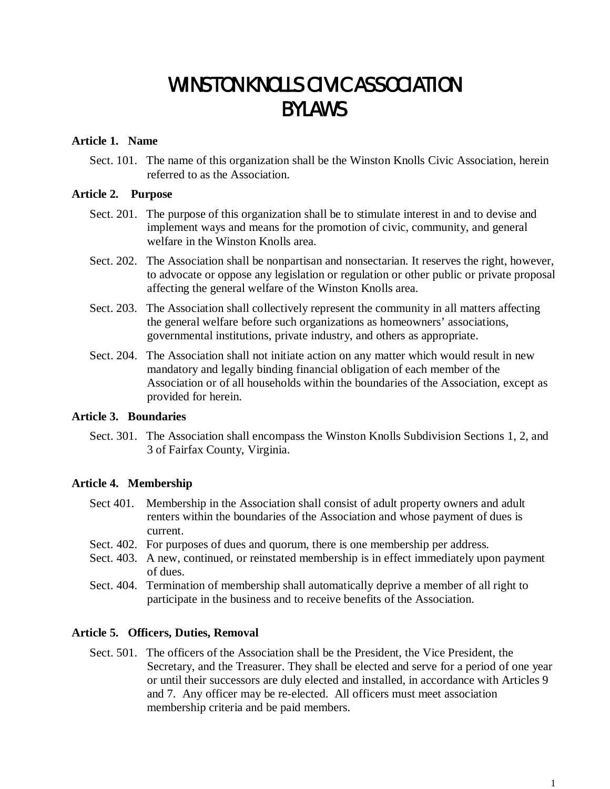# WINSTON KNOLLS CIVIC ASSOCIATION BYLAWS

### **Article 1. Name**

Sect. 101. The name of this organization shall be the Winston Knolls Civic Association, herein referred to as the Association.

### **Article 2. Purpose**

- Sect. 201. The purpose of this organization shall be to stimulate interest in and to devise and implement ways and means for the promotion of civic, community, and general welfare in the Winston Knolls area.
- Sect. 202. The Association shall be nonpartisan and nonsectarian. It reserves the right, however, to advocate or oppose any legislation or regulation or other public or private proposal affecting the general welfare of the Winston Knolls area.
- Sect. 203. The Association shall collectively represent the community in all matters affecting the general welfare before such organizations as homeowners' associations, governmental institutions, private industry, and others as appropriate.
- Sect. 204. The Association shall not initiate action on any matter which would result in new mandatory and legally binding financial obligation of each member of the Association or of all households within the boundaries of the Association, except as provided for herein.

## **Article 3. Boundaries**

Sect. 301. The Association shall encompass the Winston Knolls Subdivision Sections 1, 2, and 3 of Fairfax County, Virginia.

#### **Article 4. Membership**

- Sect 401. Membership in the Association shall consist of adult property owners and adult renters within the boundaries of the Association and whose payment of dues is current.
- Sect. 402. For purposes of dues and quorum, there is one membership per address.
- Sect. 403. A new, continued, or reinstated membership is in effect immediately upon payment of dues.
- Sect. 404. Termination of membership shall automatically deprive a member of all right to participate in the business and to receive benefits of the Association.

## **Article 5. Officers, Duties, Removal**

Sect. 501. The officers of the Association shall be the President, the Vice President, the Secretary, and the Treasurer. They shall be elected and serve for a period of one year or until their successors are duly elected and installed, in accordance with Articles 9 and 7. Any officer may be re-elected. All officers must meet association membership criteria and be paid members.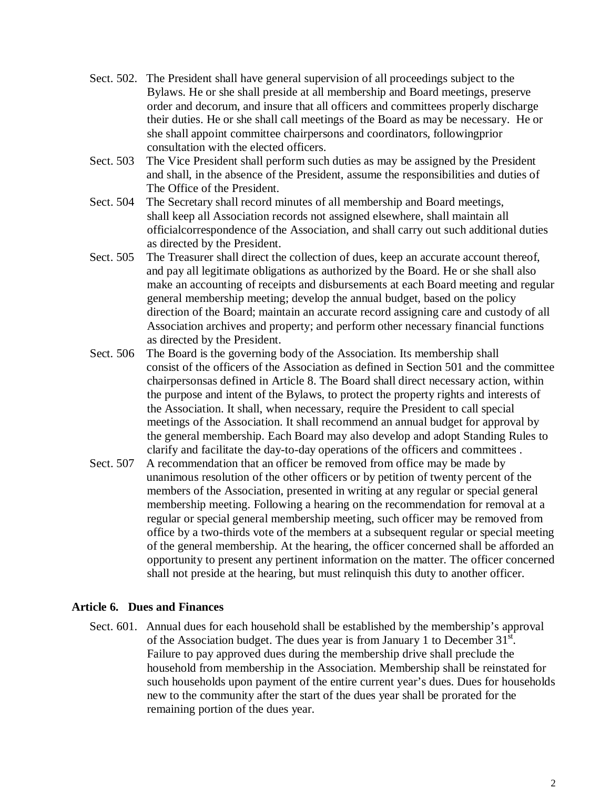- Sect. 502. The President shall have general supervision of all proceedings subject to the Bylaws. He or she shall preside at all membership and Board meetings, preserve order and decorum, and insure that all officers and committees properly discharge their duties. He or she shall call meetings of the Board as may be necessary. He or she shall appoint committee chairpersons and coordinators, followingprior consultation with the elected officers.
- Sect. 503 The Vice President shall perform such duties as may be assigned by the President and shall, in the absence of the President, assume the responsibilities and duties of The Office of the President.
- Sect. 504 The Secretary shall record minutes of all membership and Board meetings, shall keep all Association records not assigned elsewhere, shall maintain all officialcorrespondence of the Association, and shall carry out such additional duties as directed by the President.
- Sect. 505 The Treasurer shall direct the collection of dues, keep an accurate account thereof, and pay all legitimate obligations as authorized by the Board. He or she shall also make an accounting of receipts and disbursements at each Board meeting and regular general membership meeting; develop the annual budget, based on the policy direction of the Board; maintain an accurate record assigning care and custody of all Association archives and property; and perform other necessary financial functions as directed by the President.
- Sect. 506 The Board is the governing body of the Association. Its membership shall consist of the officers of the Association as defined in Section 501 and the committee chairpersonsas defined in Article 8. The Board shall direct necessary action, within the purpose and intent of the Bylaws, to protect the property rights and interests of the Association. It shall, when necessary, require the President to call special meetings of the Association. It shall recommend an annual budget for approval by the general membership. Each Board may also develop and adopt Standing Rules to clarify and facilitate the day-to-day operations of the officers and committees .
- Sect. 507 A recommendation that an officer be removed from office may be made by unanimous resolution of the other officers or by petition of twenty percent of the members of the Association, presented in writing at any regular or special general membership meeting. Following a hearing on the recommendation for removal at a regular or special general membership meeting, such officer may be removed from office by a two-thirds vote of the members at a subsequent regular or special meeting of the general membership. At the hearing, the officer concerned shall be afforded an opportunity to present any pertinent information on the matter. The officer concerned shall not preside at the hearing, but must relinquish this duty to another officer.

## **Article 6. Dues and Finances**

Sect. 601. Annual dues for each household shall be established by the membership's approval of the Association budget. The dues year is from January 1 to December  $31<sup>st</sup>$ . Failure to pay approved dues during the membership drive shall preclude the household from membership in the Association. Membership shall be reinstated for such households upon payment of the entire current year's dues. Dues for households new to the community after the start of the dues year shall be prorated for the remaining portion of the dues year.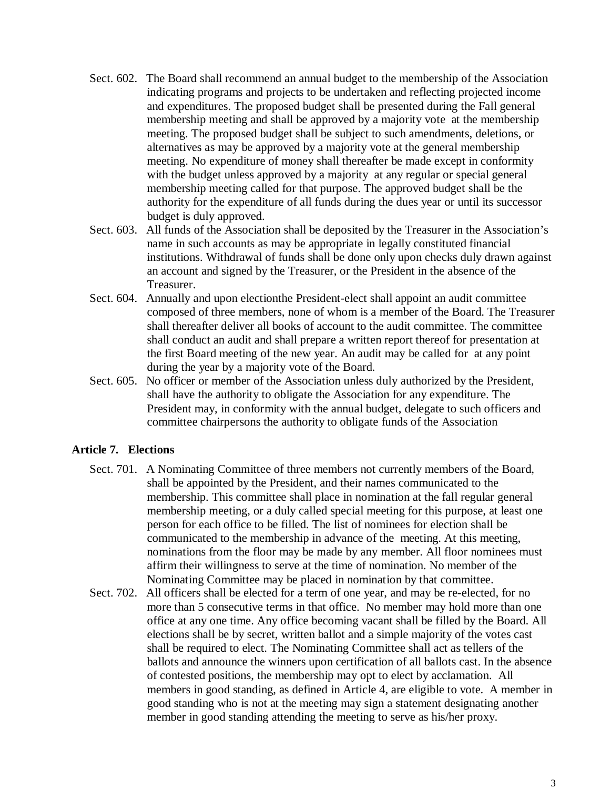- Sect. 602. The Board shall recommend an annual budget to the membership of the Association indicating programs and projects to be undertaken and reflecting projected income and expenditures. The proposed budget shall be presented during the Fall general membership meeting and shall be approved by a majority vote at the membership meeting. The proposed budget shall be subject to such amendments, deletions, or alternatives as may be approved by a majority vote at the general membership meeting. No expenditure of money shall thereafter be made except in conformity with the budget unless approved by a majority at any regular or special general membership meeting called for that purpose. The approved budget shall be the authority for the expenditure of all funds during the dues year or until its successor budget is duly approved.
- Sect. 603. All funds of the Association shall be deposited by the Treasurer in the Association's name in such accounts as may be appropriate in legally constituted financial institutions. Withdrawal of funds shall be done only upon checks duly drawn against an account and signed by the Treasurer, or the President in the absence of the Treasurer.
- Sect. 604. Annually and upon electionthe President-elect shall appoint an audit committee composed of three members, none of whom is a member of the Board. The Treasurer shall thereafter deliver all books of account to the audit committee. The committee shall conduct an audit and shall prepare a written report thereof for presentation at the first Board meeting of the new year. An audit may be called for at any point during the year by a majority vote of the Board.
- Sect. 605. No officer or member of the Association unless duly authorized by the President, shall have the authority to obligate the Association for any expenditure. The President may, in conformity with the annual budget, delegate to such officers and committee chairpersons the authority to obligate funds of the Association

# **Article 7. Elections**

- Sect. 701. A Nominating Committee of three members not currently members of the Board, shall be appointed by the President, and their names communicated to the membership. This committee shall place in nomination at the fall regular general membership meeting, or a duly called special meeting for this purpose, at least one person for each office to be filled. The list of nominees for election shall be communicated to the membership in advance of the meeting. At this meeting, nominations from the floor may be made by any member. All floor nominees must affirm their willingness to serve at the time of nomination. No member of the Nominating Committee may be placed in nomination by that committee.
- Sect. 702. All officers shall be elected for a term of one year, and may be re-elected, for no more than 5 consecutive terms in that office. No member may hold more than one office at any one time. Any office becoming vacant shall be filled by the Board. All elections shall be by secret, written ballot and a simple majority of the votes cast shall be required to elect. The Nominating Committee shall act as tellers of the ballots and announce the winners upon certification of all ballots cast. In the absence of contested positions, the membership may opt to elect by acclamation. All members in good standing, as defined in Article 4, are eligible to vote. A member in good standing who is not at the meeting may sign a statement designating another member in good standing attending the meeting to serve as his/her proxy.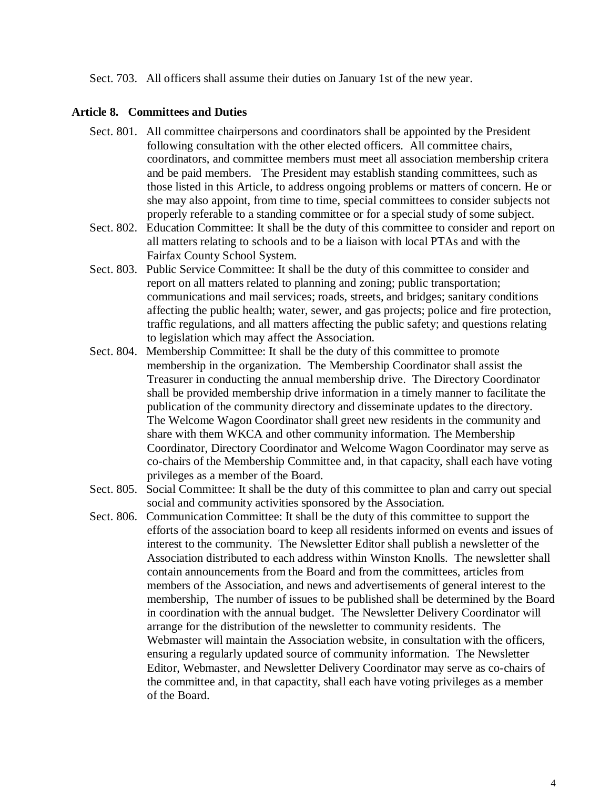Sect. 703. All officers shall assume their duties on January 1st of the new year.

## **Article 8. Committees and Duties**

- Sect. 801. All committee chairpersons and coordinators shall be appointed by the President following consultation with the other elected officers. All committee chairs, coordinators, and committee members must meet all association membership critera and be paid members. The President may establish standing committees, such as those listed in this Article, to address ongoing problems or matters of concern. He or she may also appoint, from time to time, special committees to consider subjects not properly referable to a standing committee or for a special study of some subject.
- Sect. 802. Education Committee: It shall be the duty of this committee to consider and report on all matters relating to schools and to be a liaison with local PTAs and with the Fairfax County School System.
- Sect. 803. Public Service Committee: It shall be the duty of this committee to consider and report on all matters related to planning and zoning; public transportation; communications and mail services; roads, streets, and bridges; sanitary conditions affecting the public health; water, sewer, and gas projects; police and fire protection, traffic regulations, and all matters affecting the public safety; and questions relating to legislation which may affect the Association.
- Sect. 804. Membership Committee: It shall be the duty of this committee to promote membership in the organization. The Membership Coordinator shall assist the Treasurer in conducting the annual membership drive. The Directory Coordinator shall be provided membership drive information in a timely manner to facilitate the publication of the community directory and disseminate updates to the directory. The Welcome Wagon Coordinator shall greet new residents in the community and share with them WKCA and other community information. The Membership Coordinator, Directory Coordinator and Welcome Wagon Coordinator may serve as co-chairs of the Membership Committee and, in that capacity, shall each have voting privileges as a member of the Board.
- Sect. 805. Social Committee: It shall be the duty of this committee to plan and carry out special social and community activities sponsored by the Association.
- Sect. 806. Communication Committee: It shall be the duty of this committee to support the efforts of the association board to keep all residents informed on events and issues of interest to the community. The Newsletter Editor shall publish a newsletter of the Association distributed to each address within Winston Knolls. The newsletter shall contain announcements from the Board and from the committees, articles from members of the Association, and news and advertisements of general interest to the membership, The number of issues to be published shall be determined by the Board in coordination with the annual budget. The Newsletter Delivery Coordinator will arrange for the distribution of the newsletter to community residents. The Webmaster will maintain the Association website, in consultation with the officers, ensuring a regularly updated source of community information. The Newsletter Editor, Webmaster, and Newsletter Delivery Coordinator may serve as co-chairs of the committee and, in that capactity, shall each have voting privileges as a member of the Board.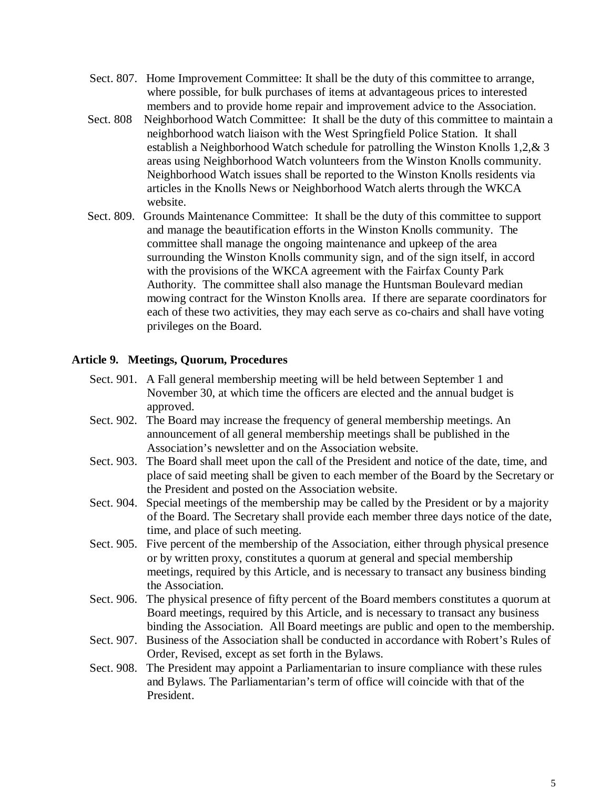- Sect. 807. Home Improvement Committee: It shall be the duty of this committee to arrange, where possible, for bulk purchases of items at advantageous prices to interested members and to provide home repair and improvement advice to the Association.
- Sect. 808 Neighborhood Watch Committee: It shall be the duty of this committee to maintain a neighborhood watch liaison with the West Springfield Police Station. It shall establish a Neighborhood Watch schedule for patrolling the Winston Knolls 1,2,& 3 areas using Neighborhood Watch volunteers from the Winston Knolls community. Neighborhood Watch issues shall be reported to the Winston Knolls residents via articles in the Knolls News or Neighborhood Watch alerts through the WKCA website.
- Sect. 809. Grounds Maintenance Committee: It shall be the duty of this committee to support and manage the beautification efforts in the Winston Knolls community. The committee shall manage the ongoing maintenance and upkeep of the area surrounding the Winston Knolls community sign, and of the sign itself, in accord with the provisions of the WKCA agreement with the Fairfax County Park Authority. The committee shall also manage the Huntsman Boulevard median mowing contract for the Winston Knolls area. If there are separate coordinators for each of these two activities, they may each serve as co-chairs and shall have voting privileges on the Board.

# **Article 9. Meetings, Quorum, Procedures**

- Sect. 901. A Fall general membership meeting will be held between September 1 and November 30, at which time the officers are elected and the annual budget is approved.
- Sect. 902. The Board may increase the frequency of general membership meetings. An announcement of all general membership meetings shall be published in the Association's newsletter and on the Association website.
- Sect. 903. The Board shall meet upon the call of the President and notice of the date, time, and place of said meeting shall be given to each member of the Board by the Secretary or the President and posted on the Association website.
- Sect. 904. Special meetings of the membership may be called by the President or by a majority of the Board. The Secretary shall provide each member three days notice of the date, time, and place of such meeting.
- Sect. 905. Five percent of the membership of the Association, either through physical presence or by written proxy, constitutes a quorum at general and special membership meetings, required by this Article, and is necessary to transact any business binding the Association.
- Sect. 906. The physical presence of fifty percent of the Board members constitutes a quorum at Board meetings, required by this Article, and is necessary to transact any business binding the Association. All Board meetings are public and open to the membership.
- Sect. 907. Business of the Association shall be conducted in accordance with Robert's Rules of Order, Revised, except as set forth in the Bylaws.
- Sect. 908. The President may appoint a Parliamentarian to insure compliance with these rules and Bylaws. The Parliamentarian's term of office will coincide with that of the President.